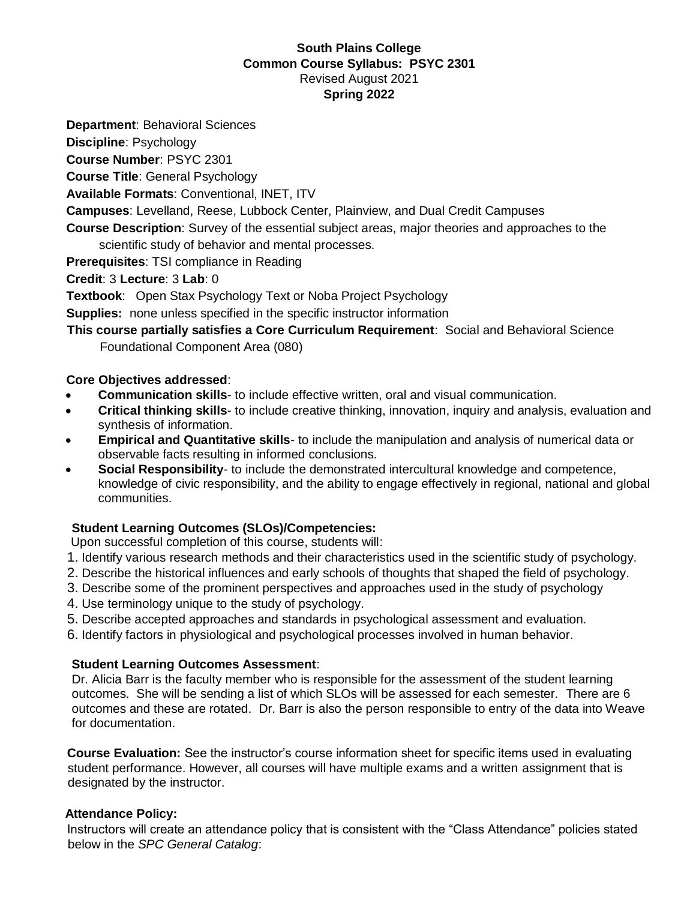#### **South Plains College Common Course Syllabus: PSYC 2301** Revised August 2021 **Spring 2022**

**Department**: Behavioral Sciences

**Discipline**: Psychology

**Course Number**: PSYC 2301

**Course Title**: General Psychology

**Available Formats**: Conventional, INET, ITV

**Campuses**: Levelland, Reese, Lubbock Center, Plainview, and Dual Credit Campuses

**Course Description**: Survey of the essential subject areas, major theories and approaches to the scientific study of behavior and mental processes.

**Prerequisites**: TSI compliance in Reading

**Credit**: 3 **Lecture**: 3 **Lab**: 0

**Textbook**: Open Stax Psychology Text or Noba Project Psychology

**Supplies:** none unless specified in the specific instructor information

**This course partially satisfies a Core Curriculum Requirement**: Social and Behavioral Science Foundational Component Area (080)

#### **Core Objectives addressed**:

- **Communication skills** to include effective written, oral and visual communication.
- **Critical thinking skills** to include creative thinking, innovation, inquiry and analysis, evaluation and synthesis of information.
- **Empirical and Quantitative skills** to include the manipulation and analysis of numerical data or observable facts resulting in informed conclusions.
- **Social Responsibility** to include the demonstrated intercultural knowledge and competence, knowledge of civic responsibility, and the ability to engage effectively in regional, national and global communities.

#### **Student Learning Outcomes (SLOs)/Competencies:**

Upon successful completion of this course, students will:

- 1. Identify various research methods and their characteristics used in the scientific study of psychology.
- 2. Describe the historical influences and early schools of thoughts that shaped the field of psychology.
- 3. Describe some of the prominent perspectives and approaches used in the study of psychology
- 4. Use terminology unique to the study of psychology.
- 5. Describe accepted approaches and standards in psychological assessment and evaluation.
- 6. Identify factors in physiological and psychological processes involved in human behavior.

#### **Student Learning Outcomes Assessment**:

Dr. Alicia Barr is the faculty member who is responsible for the assessment of the student learning outcomes. She will be sending a list of which SLOs will be assessed for each semester. There are 6 outcomes and these are rotated. Dr. Barr is also the person responsible to entry of the data into Weave for documentation.

**Course Evaluation:** See the instructor's course information sheet for specific items used in evaluating student performance. However, all courses will have multiple exams and a written assignment that is designated by the instructor.

#### **Attendance Policy:**

Instructors will create an attendance policy that is consistent with the "Class Attendance" policies stated below in the *SPC General Catalog*: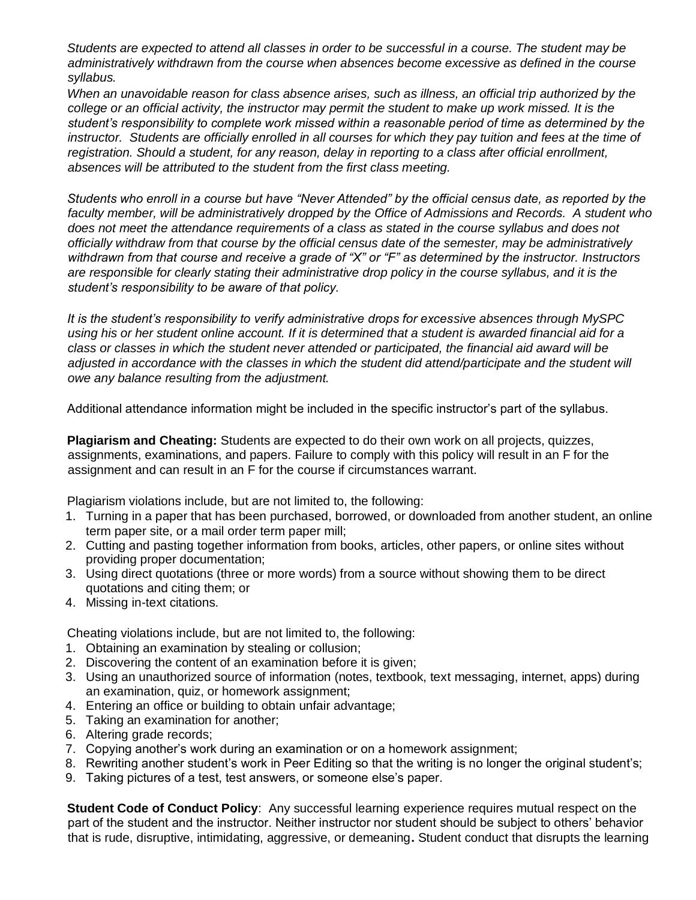*Students are expected to attend all classes in order to be successful in a course. The student may be administratively withdrawn from the course when absences become excessive as defined in the course syllabus.*

*When an unavoidable reason for class absence arises, such as illness, an official trip authorized by the college or an official activity, the instructor may permit the student to make up work missed. It is the student's responsibility to complete work missed within a reasonable period of time as determined by the*  instructor. Students are officially enrolled in all courses for which they pay tuition and fees at the time of *registration. Should a student, for any reason, delay in reporting to a class after official enrollment, absences will be attributed to the student from the first class meeting.*

*Students who enroll in a course but have "Never Attended" by the official census date, as reported by the faculty member, will be administratively dropped by the Office of Admissions and Records. A student who does not meet the attendance requirements of a class as stated in the course syllabus and does not officially withdraw from that course by the official census date of the semester, may be administratively withdrawn from that course and receive a grade of "X" or "F" as determined by the instructor. Instructors are responsible for clearly stating their administrative drop policy in the course syllabus, and it is the student's responsibility to be aware of that policy.* 

*It is the student's responsibility to verify administrative drops for excessive absences through MySPC using his or her student online account. If it is determined that a student is awarded financial aid for a class or classes in which the student never attended or participated, the financial aid award will be adjusted in accordance with the classes in which the student did attend/participate and the student will owe any balance resulting from the adjustment.*

Additional attendance information might be included in the specific instructor's part of the syllabus.

**Plagiarism and Cheating:** Students are expected to do their own work on all projects, quizzes, assignments, examinations, and papers. Failure to comply with this policy will result in an F for the assignment and can result in an F for the course if circumstances warrant.

Plagiarism violations include, but are not limited to, the following:

- 1. Turning in a paper that has been purchased, borrowed, or downloaded from another student, an online term paper site, or a mail order term paper mill;
- 2. Cutting and pasting together information from books, articles, other papers, or online sites without providing proper documentation;
- 3. Using direct quotations (three or more words) from a source without showing them to be direct quotations and citing them; or
- 4. Missing in-text citations.

Cheating violations include, but are not limited to, the following:

- 1. Obtaining an examination by stealing or collusion;
- 2. Discovering the content of an examination before it is given;
- 3. Using an unauthorized source of information (notes, textbook, text messaging, internet, apps) during an examination, quiz, or homework assignment;
- 4. Entering an office or building to obtain unfair advantage;
- 5. Taking an examination for another;
- 6. Altering grade records;
- 7. Copying another's work during an examination or on a homework assignment;
- 8. Rewriting another student's work in Peer Editing so that the writing is no longer the original student's;
- 9. Taking pictures of a test, test answers, or someone else's paper.

**Student Code of Conduct Policy:** Any successful learning experience requires mutual respect on the part of the student and the instructor. Neither instructor nor student should be subject to others' behavior that is rude, disruptive, intimidating, aggressive, or demeaning**.** Student conduct that disrupts the learning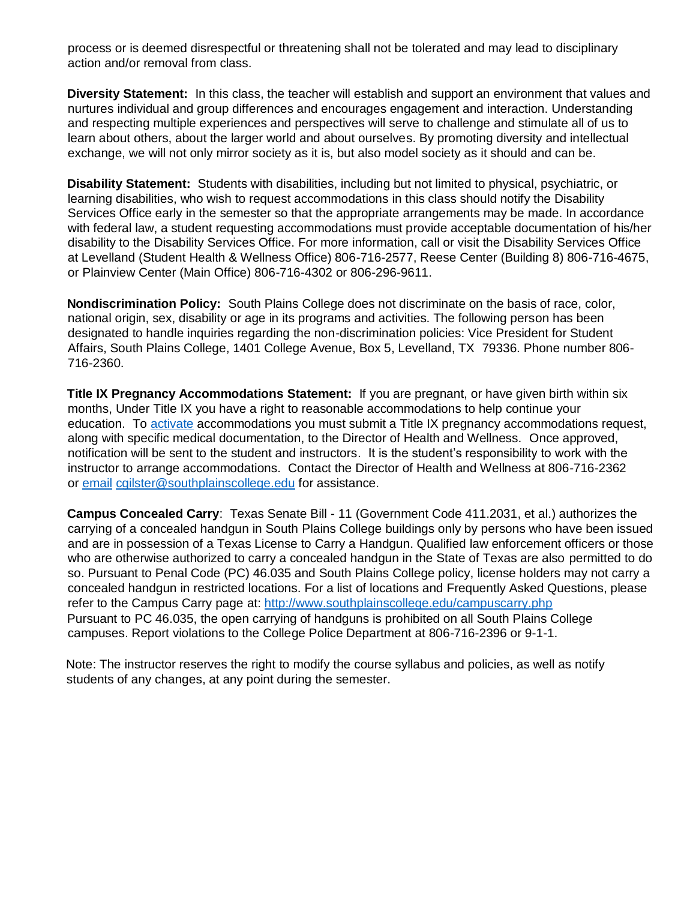process or is deemed disrespectful or threatening shall not be tolerated and may lead to disciplinary action and/or removal from class.

**Diversity Statement:** In this class, the teacher will establish and support an environment that values and nurtures individual and group differences and encourages engagement and interaction. Understanding and respecting multiple experiences and perspectives will serve to challenge and stimulate all of us to learn about others, about the larger world and about ourselves. By promoting diversity and intellectual exchange, we will not only mirror society as it is, but also model society as it should and can be.

**Disability Statement:** Students with disabilities, including but not limited to physical, psychiatric, or learning disabilities, who wish to request accommodations in this class should notify the Disability Services Office early in the semester so that the appropriate arrangements may be made. In accordance with federal law, a student requesting accommodations must provide acceptable documentation of his/her disability to the Disability Services Office. For more information, call or visit the Disability Services Office at Levelland (Student Health & Wellness Office) 806-716-2577, Reese Center (Building 8) 806-716-4675, or Plainview Center (Main Office) 806-716-4302 or 806-296-9611.

**Nondiscrimination Policy:** South Plains College does not discriminate on the basis of race, color, national origin, sex, disability or age in its programs and activities. The following person has been designated to handle inquiries regarding the non-discrimination policies: Vice President for Student Affairs, South Plains College, 1401 College Avenue, Box 5, Levelland, TX 79336. Phone number 806- 716-2360.

**Title IX Pregnancy Accommodations Statement:** If you are pregnant, or have given birth within six months, Under Title IX you have a right to reasonable accommodations to help continue your education. To [activate](http://www.southplainscollege.edu/employees/manualshandbooks/facultyhandbook/sec4.php) accommodations you must submit a Title IX pregnancy accommodations request, along with specific medical documentation, to the Director of Health and Wellness. Once approved, notification will be sent to the student and instructors. It is the student's responsibility to work with the instructor to arrange accommodations. Contact the Director of Health and Wellness at 806-716-2362 or [email](http://www.southplainscollege.edu/employees/manualshandbooks/facultyhandbook/sec4.php) [cgilster@southplainscollege.edu](mailto:cgilster@southplainscollege.edu) for assistance.

**Campus Concealed Carry**: Texas Senate Bill - 11 (Government Code 411.2031, et al.) authorizes the carrying of a concealed handgun in South Plains College buildings only by persons who have been issued and are in possession of a Texas License to Carry a Handgun. Qualified law enforcement officers or those who are otherwise authorized to carry a concealed handgun in the State of Texas are also permitted to do so. Pursuant to Penal Code (PC) 46.035 and South Plains College policy, license holders may not carry a concealed handgun in restricted locations. For a list of locations and Frequently Asked Questions, please refer to the Campus Carry page at: <http://www.southplainscollege.edu/campuscarry.php> Pursuant to PC 46.035, the open carrying of handguns is prohibited on all South Plains College campuses. Report violations to the College Police Department at 806-716-2396 or 9-1-1.

Note: The instructor reserves the right to modify the course syllabus and policies, as well as notify students of any changes, at any point during the semester.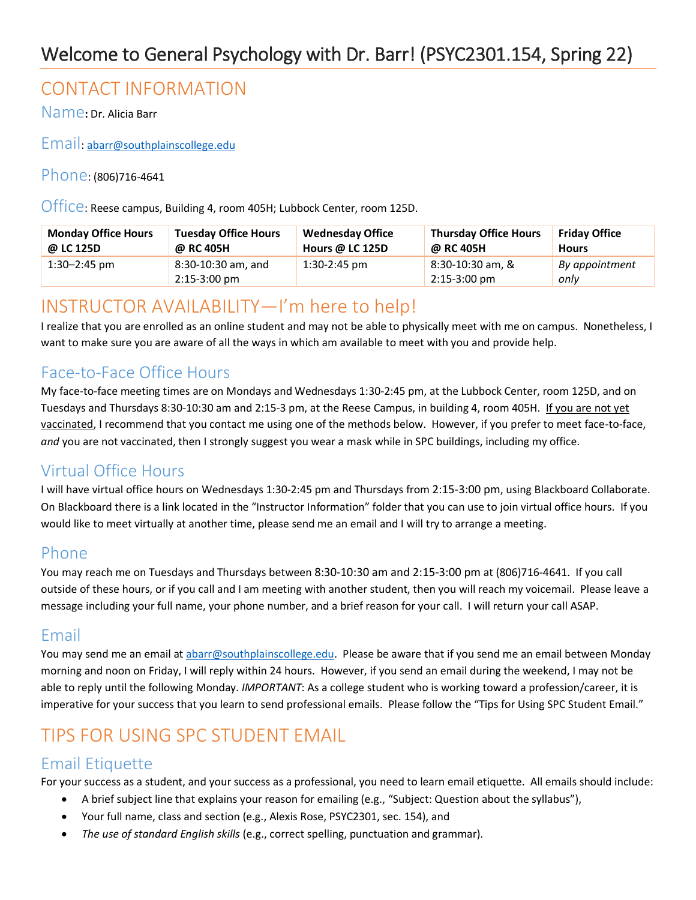# CONTACT INFORMATION

Name**:** Dr. Alicia Barr

Email[: abarr@southplainscollege.edu](mailto:abarr@southplainscollege.edu)

#### Phone: (806)716-4641

Office: Reese campus, Building 4, room 405H; Lubbock Center, room 125D.

| <b>Monday Office Hours</b> | <b>Tuesday Office Hours</b>                  | <b>Wednesday Office</b> | <b>Thursday Office Hours</b>       | <b>Friday Office</b>   |
|----------------------------|----------------------------------------------|-------------------------|------------------------------------|------------------------|
| @ LC 125D                  | @ RC 405H                                    | Hours @ LC 125D         | @ RC 405H                          | <b>Hours</b>           |
| $1:30 - 2:45$ pm           | 8:30-10:30 am, and<br>$2:15-3:00 \text{ pm}$ | 1:30-2:45 pm            | 8:30-10:30 am, &<br>$2:15-3:00$ pm | By appointment<br>onlv |

## INSTRUCTOR AVAILABILITY—I'm here to help!

I realize that you are enrolled as an online student and may not be able to physically meet with me on campus. Nonetheless, I want to make sure you are aware of all the ways in which am available to meet with you and provide help.

### Face-to-Face Office Hours

My face-to-face meeting times are on Mondays and Wednesdays 1:30-2:45 pm, at the Lubbock Center, room 125D, and on Tuesdays and Thursdays 8:30-10:30 am and 2:15-3 pm, at the Reese Campus, in building 4, room 405H. If you are not yet vaccinated, I recommend that you contact me using one of the methods below. However, if you prefer to meet face-to-face, *and* you are not vaccinated, then I strongly suggest you wear a mask while in SPC buildings, including my office.

### Virtual Office Hours

I will have virtual office hours on Wednesdays 1:30-2:45 pm and Thursdays from 2:15-3:00 pm, using Blackboard Collaborate. On Blackboard there is a link located in the "Instructor Information" folder that you can use to join virtual office hours. If you would like to meet virtually at another time, please send me an email and I will try to arrange a meeting.

#### Phone

You may reach me on Tuesdays and Thursdays between 8:30-10:30 am and 2:15-3:00 pm at (806)716-4641. If you call outside of these hours, or if you call and I am meeting with another student, then you will reach my voicemail. Please leave a message including your full name, your phone number, and a brief reason for your call. I will return your call ASAP.

### Email

You may send me an email a[t abarr@southplainscollege.edu.](mailto:abarr@southplainscollege.edu) Please be aware that if you send me an email between Monday morning and noon on Friday, I will reply within 24 hours. However, if you send an email during the weekend, I may not be able to reply until the following Monday. *IMPORTANT*: As a college student who is working toward a profession/career, it is imperative for your success that you learn to send professional emails. Please follow the "Tips for Using SPC Student Email."

# TIPS FOR USING SPC STUDENT EMAIL

## Email Etiquette

For your success as a student, and your success as a professional, you need to learn email etiquette. All emails should include:

- A brief subject line that explains your reason for emailing (e.g., "Subject: Question about the syllabus"),
- Your full name, class and section (e.g., Alexis Rose, PSYC2301, sec. 154), and
- *The use of standard English skills* (e.g., correct spelling, punctuation and grammar).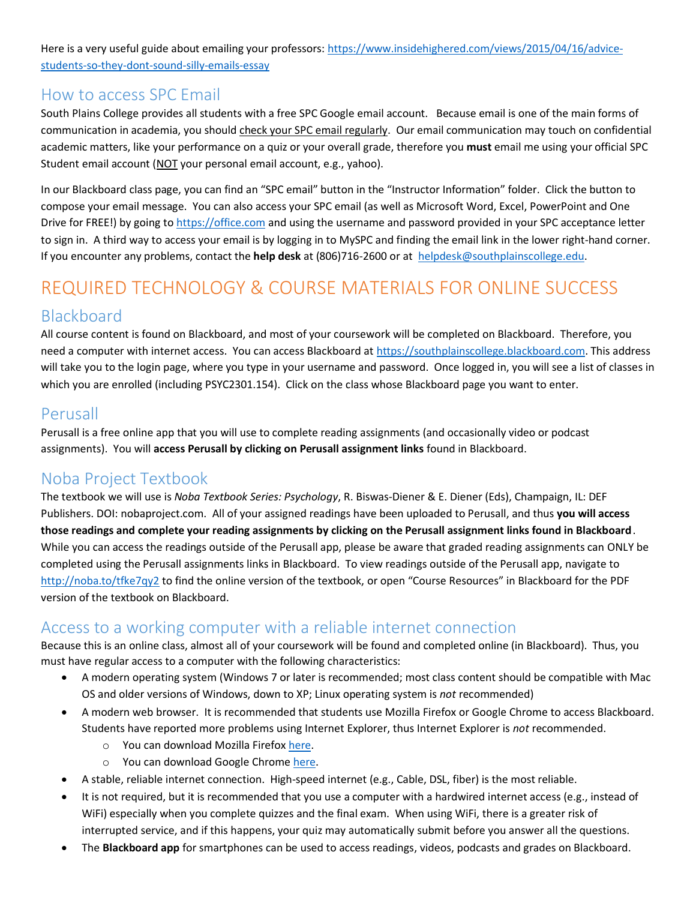Here is a very useful guide about emailing your professors: [https://www.insidehighered.com/views/2015/04/16/advice](https://www.insidehighered.com/views/2015/04/16/advice-students-so-they-dont-sound-silly-emails-essay)[students-so-they-dont-sound-silly-emails-essay](https://www.insidehighered.com/views/2015/04/16/advice-students-so-they-dont-sound-silly-emails-essay) 

#### How to access SPC Email

South Plains College provides all students with a free SPC Google email account. Because email is one of the main forms of communication in academia, you should check your SPC email regularly. Our email communication may touch on confidential academic matters, like your performance on a quiz or your overall grade, therefore you **must** email me using your official SPC Student email account (NOT your personal email account, e.g., yahoo).

In our Blackboard class page, you can find an "SPC email" button in the "Instructor Information" folder. Click the button to compose your email message. You can also access your SPC email (as well as Microsoft Word, Excel, PowerPoint and One Drive for FREE!) by going to [https://office.com](https://office.com/) and using the username and password provided in your SPC acceptance letter to sign in. A third way to access your email is by logging in to MySPC and finding the email link in the lower right-hand corner. If you encounter any problems, contact the **help desk** at (806)716-2600 or at [helpdesk@southplainscollege.edu.](mailto:helpdesk@southplainscollege.edu)

# REQUIRED TECHNOLOGY & COURSE MATERIALS FOR ONLINE SUCCESS Blackboard

All course content is found on Blackboard, and most of your coursework will be completed on Blackboard. Therefore, you need a computer with internet access. You can access Blackboard at [https://southplainscollege.blackboard.com.](https://southplainscollege.blackboard.com/) This address will take you to the login page, where you type in your username and password. Once logged in, you will see a list of classes in which you are enrolled (including PSYC2301.154). Click on the class whose Blackboard page you want to enter.

## Perusall

Perusall is a free online app that you will use to complete reading assignments (and occasionally video or podcast assignments). You will **access Perusall by clicking on Perusall assignment links** found in Blackboard.

## Noba Project Textbook

The textbook we will use is *Noba Textbook Series: Psychology*, R. Biswas-Diener & E. Diener (Eds), Champaign, IL: DEF Publishers. DOI: nobaproject.com. All of your assigned readings have been uploaded to Perusall, and thus **you will access those readings and complete your reading assignments by clicking on the Perusall assignment links found in Blackboard**. While you can access the readings outside of the Perusall app, please be aware that graded reading assignments can ONLY be completed using the Perusall assignments links in Blackboard. To view readings outside of the Perusall app, navigate to <http://noba.to/tfke7qy2> to find the online version of the textbook, or open "Course Resources" in Blackboard for the PDF version of the textbook on Blackboard.

### Access to a working computer with a reliable internet connection

Because this is an online class, almost all of your coursework will be found and completed online (in Blackboard). Thus, you must have regular access to a computer with the following characteristics:

- A modern operating system (Windows 7 or later is recommended; most class content should be compatible with Mac OS and older versions of Windows, down to XP; Linux operating system is *not* recommended)
- A modern web browser. It is recommended that students use Mozilla Firefox or Google Chrome to access Blackboard. Students have reported more problems using Internet Explorer, thus Internet Explorer is *not* recommended.
	- o You can download Mozilla Firefox [here.](https://www.mozilla.org/en-US/firefox/new/)
	- o You can download Google Chrome [here.](https://www.google.com/intl/en/chrome/browser/desktop/index.html#brand=CHMB&utm_campaign=en&utm_source=en-ha-na-us-sk&utm_medium=ha)
- A stable, reliable internet connection. High-speed internet (e.g., Cable, DSL, fiber) is the most reliable.
- It is not required, but it is recommended that you use a computer with a hardwired internet access (e.g., instead of WiFi) especially when you complete quizzes and the final exam. When using WiFi, there is a greater risk of interrupted service, and if this happens, your quiz may automatically submit before you answer all the questions.
- The **Blackboard app** for smartphones can be used to access readings, videos, podcasts and grades on Blackboard.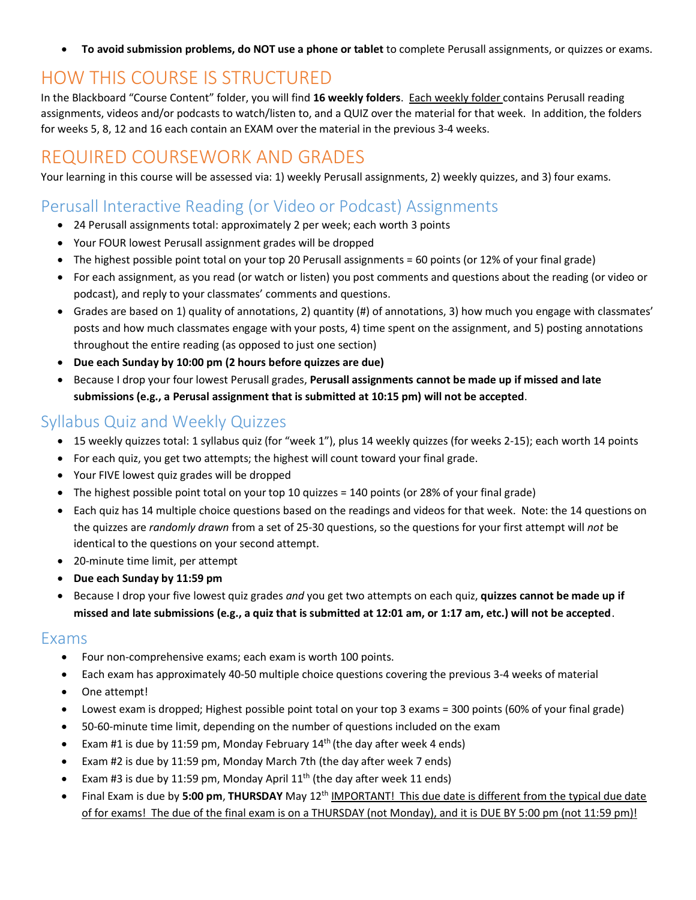• **To avoid submission problems, do NOT use a phone or tablet** to complete Perusall assignments, or quizzes or exams.

## HOW THIS COURSE IS STRUCTURED

In the Blackboard "Course Content" folder, you will find **16 weekly folders**. Each weekly folder contains Perusall reading assignments, videos and/or podcasts to watch/listen to, and a QUIZ over the material for that week. In addition, the folders for weeks 5, 8, 12 and 16 each contain an EXAM over the material in the previous 3-4 weeks.

## REQUIRED COURSEWORK AND GRADES

Your learning in this course will be assessed via: 1) weekly Perusall assignments, 2) weekly quizzes, and 3) four exams.

## Perusall Interactive Reading (or Video or Podcast) Assignments

- 24 Perusall assignments total: approximately 2 per week; each worth 3 points
- Your FOUR lowest Perusall assignment grades will be dropped
- The highest possible point total on your top 20 Perusall assignments = 60 points (or 12% of your final grade)
- For each assignment, as you read (or watch or listen) you post comments and questions about the reading (or video or podcast), and reply to your classmates' comments and questions.
- Grades are based on 1) quality of annotations, 2) quantity (#) of annotations, 3) how much you engage with classmates' posts and how much classmates engage with your posts, 4) time spent on the assignment, and 5) posting annotations throughout the entire reading (as opposed to just one section)
- **Due each Sunday by 10:00 pm (2 hours before quizzes are due)**
- Because I drop your four lowest Perusall grades, **Perusall assignments cannot be made up if missed and late submissions (e.g., a Perusal assignment that is submitted at 10:15 pm) will not be accepted**.

## Syllabus Quiz and Weekly Quizzes

- 15 weekly quizzes total: 1 syllabus quiz (for "week 1"), plus 14 weekly quizzes (for weeks 2-15); each worth 14 points
- For each quiz, you get two attempts; the highest will count toward your final grade.
- Your FIVE lowest quiz grades will be dropped
- The highest possible point total on your top 10 quizzes = 140 points (or 28% of your final grade)
- Each quiz has 14 multiple choice questions based on the readings and videos for that week. Note: the 14 questions on the quizzes are *randomly drawn* from a set of 25-30 questions, so the questions for your first attempt will *not* be identical to the questions on your second attempt.
- 20-minute time limit, per attempt
- **Due each Sunday by 11:59 pm**
- Because I drop your five lowest quiz grades *and* you get two attempts on each quiz, **quizzes cannot be made up if missed and late submissions (e.g., a quiz that is submitted at 12:01 am, or 1:17 am, etc.) will not be accepted**.

#### Exams

- Four non-comprehensive exams; each exam is worth 100 points.
- Each exam has approximately 40-50 multiple choice questions covering the previous 3-4 weeks of material
- One attempt!
- Lowest exam is dropped; Highest possible point total on your top 3 exams = 300 points (60% of your final grade)
- 50-60-minute time limit, depending on the number of questions included on the exam
- Exam #1 is due by 11:59 pm, Monday February  $14<sup>th</sup>$  (the day after week 4 ends)
- Exam #2 is due by 11:59 pm, Monday March 7th (the day after week 7 ends)
- Exam #3 is due by 11:59 pm, Monday April 11<sup>th</sup> (the day after week 11 ends)
- Final Exam is due by 5:00 pm, THURSDAY May 12<sup>th</sup> IMPORTANT! This due date is different from the typical due date of for exams! The due of the final exam is on a THURSDAY (not Monday), and it is DUE BY 5:00 pm (not 11:59 pm)!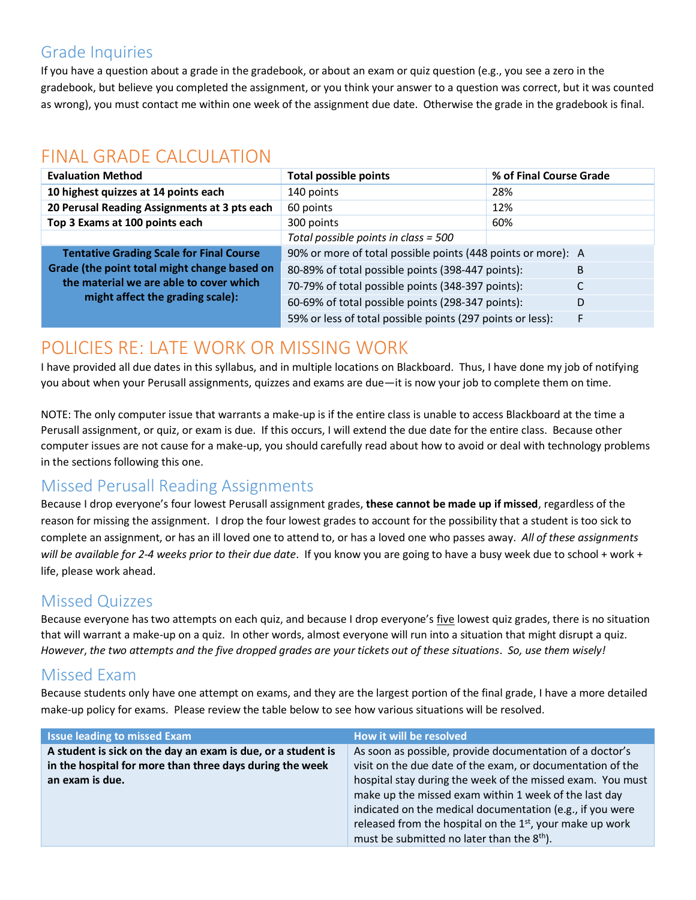## Grade Inquiries

If you have a question about a grade in the gradebook, or about an exam or quiz question (e.g., you see a zero in the gradebook, but believe you completed the assignment, or you think your answer to a question was correct, but it was counted as wrong), you must contact me within one week of the assignment due date. Otherwise the grade in the gradebook is final.

# FINAL GRADE CALCULATION

| <b>Evaluation Method</b>                        | <b>Total possible points</b>                                 | % of Final Course Grade |   |
|-------------------------------------------------|--------------------------------------------------------------|-------------------------|---|
| 10 highest quizzes at 14 points each            | 140 points                                                   | 28%                     |   |
| 20 Perusal Reading Assignments at 3 pts each    | 60 points                                                    | 12%                     |   |
| Top 3 Exams at 100 points each                  | 300 points                                                   | 60%                     |   |
|                                                 | Total possible points in class = 500                         |                         |   |
| <b>Tentative Grading Scale for Final Course</b> | 90% or more of total possible points (448 points or more): A |                         |   |
| Grade (the point total might change based on    | 80-89% of total possible points (398-447 points):            |                         | B |
| the material we are able to cover which         | 70-79% of total possible points (348-397 points):            |                         | C |
| might affect the grading scale):                | 60-69% of total possible points (298-347 points):            |                         | D |
|                                                 | 59% or less of total possible points (297 points or less):   |                         | F |

## POLICIES RE: LATE WORK OR MISSING WORK

I have provided all due dates in this syllabus, and in multiple locations on Blackboard. Thus, I have done my job of notifying you about when your Perusall assignments, quizzes and exams are due—it is now your job to complete them on time.

NOTE: The only computer issue that warrants a make-up is if the entire class is unable to access Blackboard at the time a Perusall assignment, or quiz, or exam is due. If this occurs, I will extend the due date for the entire class. Because other computer issues are not cause for a make-up, you should carefully read about how to avoid or deal with technology problems in the sections following this one.

## Missed Perusall Reading Assignments

Because I drop everyone's four lowest Perusall assignment grades, **these cannot be made up if missed**, regardless of the reason for missing the assignment. I drop the four lowest grades to account for the possibility that a student is too sick to complete an assignment, or has an ill loved one to attend to, or has a loved one who passes away. *All of these assignments will be available for 2-4 weeks prior to their due date*. If you know you are going to have a busy week due to school + work + life, please work ahead.

## Missed Quizzes

Because everyone has two attempts on each quiz, and because I drop everyone's five lowest quiz grades, there is no situation that will warrant a make-up on a quiz. In other words, almost everyone will run into a situation that might disrupt a quiz. *However*, *the two attempts and the five dropped grades are your tickets out of these situations*. *So, use them wisely!*

## Missed Exam

Because students only have one attempt on exams, and they are the largest portion of the final grade, I have a more detailed make-up policy for exams. Please review the table below to see how various situations will be resolved.

| <b>Issue leading to missed Exam</b>                          | How it will be resolved                                     |
|--------------------------------------------------------------|-------------------------------------------------------------|
| A student is sick on the day an exam is due, or a student is | As soon as possible, provide documentation of a doctor's    |
| in the hospital for more than three days during the week     | visit on the due date of the exam, or documentation of the  |
| an exam is due.                                              | hospital stay during the week of the missed exam. You must  |
|                                                              | make up the missed exam within 1 week of the last day       |
|                                                              | indicated on the medical documentation (e.g., if you were   |
|                                                              | released from the hospital on the $1st$ , your make up work |
|                                                              | must be submitted no later than the 8 <sup>th</sup> ).      |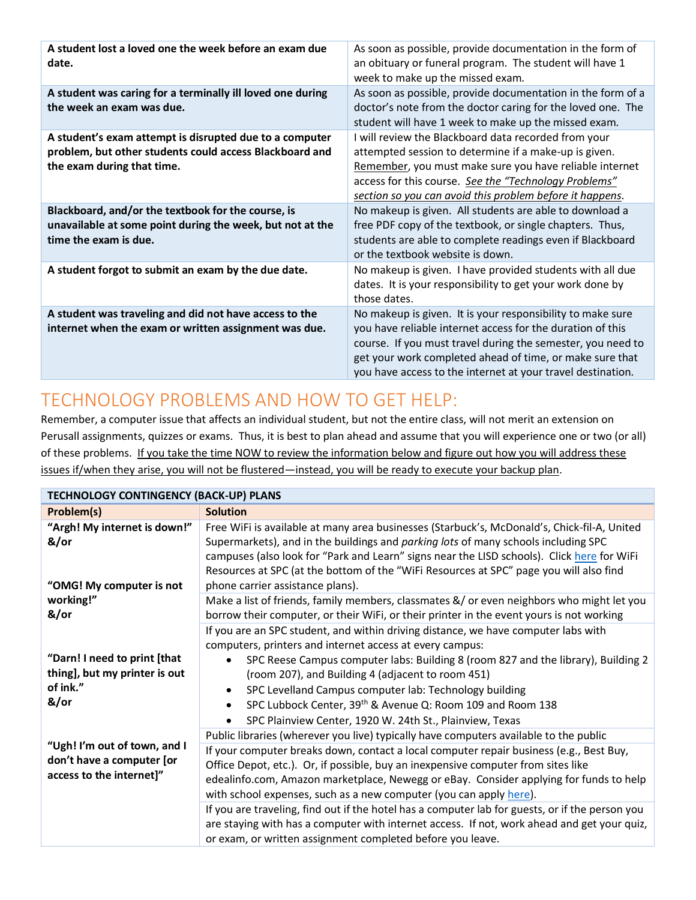| A student lost a loved one the week before an exam due<br>date.                                                                                  | As soon as possible, provide documentation in the form of<br>an obituary or funeral program. The student will have 1<br>week to make up the missed exam.                                                                                                                                                           |
|--------------------------------------------------------------------------------------------------------------------------------------------------|--------------------------------------------------------------------------------------------------------------------------------------------------------------------------------------------------------------------------------------------------------------------------------------------------------------------|
| A student was caring for a terminally ill loved one during<br>the week an exam was due.                                                          | As soon as possible, provide documentation in the form of a<br>doctor's note from the doctor caring for the loved one. The<br>student will have 1 week to make up the missed exam.                                                                                                                                 |
| A student's exam attempt is disrupted due to a computer<br>problem, but other students could access Blackboard and<br>the exam during that time. | I will review the Blackboard data recorded from your<br>attempted session to determine if a make-up is given.<br>Remember, you must make sure you have reliable internet<br>access for this course. See the "Technology Problems"<br>section so you can avoid this problem before it happens.                      |
| Blackboard, and/or the textbook for the course, is<br>unavailable at some point during the week, but not at the<br>time the exam is due.         | No makeup is given. All students are able to download a<br>free PDF copy of the textbook, or single chapters. Thus,<br>students are able to complete readings even if Blackboard<br>or the textbook website is down.                                                                                               |
| A student forgot to submit an exam by the due date.                                                                                              | No makeup is given. I have provided students with all due<br>dates. It is your responsibility to get your work done by<br>those dates.                                                                                                                                                                             |
| A student was traveling and did not have access to the<br>internet when the exam or written assignment was due.                                  | No makeup is given. It is your responsibility to make sure<br>you have reliable internet access for the duration of this<br>course. If you must travel during the semester, you need to<br>get your work completed ahead of time, or make sure that<br>you have access to the internet at your travel destination. |

## TECHNOLOGY PROBLEMS AND HOW TO GET HELP:

Remember, a computer issue that affects an individual student, but not the entire class, will not merit an extension on Perusall assignments, quizzes or exams. Thus, it is best to plan ahead and assume that you will experience one or two (or all) of these problems. If you take the time NOW to review the information below and figure out how you will address these issues if/when they arise, you will not be flustered—instead, you will be ready to execute your backup plan.

| <b>TECHNOLOGY CONTINGENCY (BACK-UP) PLANS</b>                                         |                                                                                                                                                                                                                                                                                                                                                                                                                                                                                                                                                                                                                                                                                                       |  |
|---------------------------------------------------------------------------------------|-------------------------------------------------------------------------------------------------------------------------------------------------------------------------------------------------------------------------------------------------------------------------------------------------------------------------------------------------------------------------------------------------------------------------------------------------------------------------------------------------------------------------------------------------------------------------------------------------------------------------------------------------------------------------------------------------------|--|
| Problem(s)                                                                            | <b>Solution</b>                                                                                                                                                                                                                                                                                                                                                                                                                                                                                                                                                                                                                                                                                       |  |
| "Argh! My internet is down!"<br>&/or<br>"OMG! My computer is not                      | Free WiFi is available at many area businesses (Starbuck's, McDonald's, Chick-fil-A, United<br>Supermarkets), and in the buildings and parking lots of many schools including SPC<br>campuses (also look for "Park and Learn" signs near the LISD schools). Click here for WiFi<br>Resources at SPC (at the bottom of the "WiFi Resources at SPC" page you will also find<br>phone carrier assistance plans).                                                                                                                                                                                                                                                                                         |  |
| working!"<br>&/or                                                                     | Make a list of friends, family members, classmates &/ or even neighbors who might let you<br>borrow their computer, or their WiFi, or their printer in the event yours is not working                                                                                                                                                                                                                                                                                                                                                                                                                                                                                                                 |  |
| "Darn! I need to print [that<br>thing], but my printer is out<br>of ink."<br>&/or     | If you are an SPC student, and within driving distance, we have computer labs with<br>computers, printers and internet access at every campus:<br>SPC Reese Campus computer labs: Building 8 (room 827 and the library), Building 2<br>(room 207), and Building 4 (adjacent to room 451)<br>SPC Levelland Campus computer lab: Technology building<br>SPC Lubbock Center, 39 <sup>th</sup> & Avenue Q: Room 109 and Room 138<br>$\bullet$<br>SPC Plainview Center, 1920 W. 24th St., Plainview, Texas                                                                                                                                                                                                 |  |
| "Ugh! I'm out of town, and I<br>don't have a computer [or<br>access to the internet]" | Public libraries (wherever you live) typically have computers available to the public<br>If your computer breaks down, contact a local computer repair business (e.g., Best Buy,<br>Office Depot, etc.). Or, if possible, buy an inexpensive computer from sites like<br>edealinfo.com, Amazon marketplace, Newegg or eBay. Consider applying for funds to help<br>with school expenses, such as a new computer (you can apply here).<br>If you are traveling, find out if the hotel has a computer lab for guests, or if the person you<br>are staying with has a computer with internet access. If not, work ahead and get your quiz,<br>or exam, or written assignment completed before you leave. |  |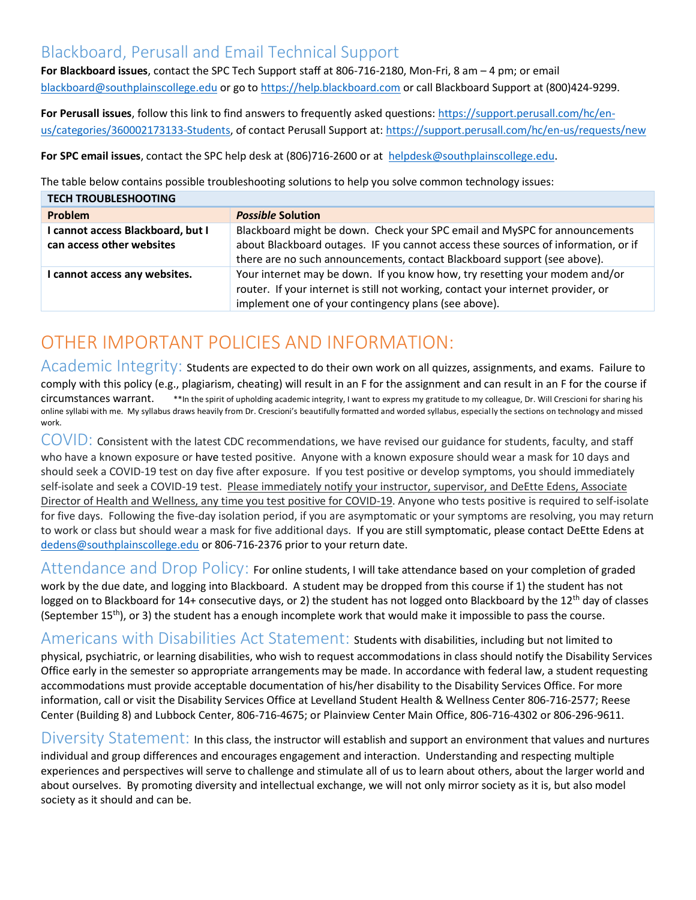## Blackboard, Perusall and Email Technical Support

**For Blackboard issues**, contact the SPC Tech Support staff at 806-716-2180, Mon-Fri, 8 am – 4 pm; or email [blackboard@southplainscollege.edu](mailto:blackboard@southplainscollege.edu) or go t[o https://help.blackboard.com](https://help.blackboard.com/) or call Blackboard Support at (800)424-9299.

**For Perusall issues**, follow this link to find answers to frequently asked questions[: https://support.perusall.com/hc/en](https://support.perusall.com/hc/en-us/categories/360002173133-Students)[us/categories/360002173133-Students,](https://support.perusall.com/hc/en-us/categories/360002173133-Students) of contact Perusall Support at: <https://support.perusall.com/hc/en-us/requests/new>

**For SPC email issues**, contact the SPC help desk at (806)716-2600 or at [helpdesk@southplainscollege.edu.](mailto:helpdesk@southplainscollege.edu)

The table below contains possible troubleshooting solutions to help you solve common technology issues:

| <b>TECH TROUBLESHOOTING</b>                                  |                                                                                                                                                                                                                                              |
|--------------------------------------------------------------|----------------------------------------------------------------------------------------------------------------------------------------------------------------------------------------------------------------------------------------------|
| Problem                                                      | <b>Possible Solution</b>                                                                                                                                                                                                                     |
| cannot access Blackboard, but I<br>can access other websites | Blackboard might be down. Check your SPC email and MySPC for announcements<br>about Blackboard outages. IF you cannot access these sources of information, or if<br>there are no such announcements, contact Blackboard support (see above). |
| cannot access any websites.                                  | Your internet may be down. If you know how, try resetting your modem and/or<br>router. If your internet is still not working, contact your internet provider, or<br>implement one of your contingency plans (see above).                     |

# OTHER IMPORTANT POLICIES AND INFORMATION:

Academic Integrity: Students are expected to do their own work on all quizzes, assignments, and exams. Failure to comply with this policy (e.g., plagiarism, cheating) will result in an F for the assignment and can result in an F for the course if circumstances warrant. \*\*In the spirit of upholding academic integrity, I want to express my gratitude to my colleague, Dr. Will Crescioni for sharing his online syllabi with me. My syllabus draws heavily from Dr. Crescioni's beautifully formatted and worded syllabus, especially the sections on technology and missed work.

 $\text{COVID:}$  Consistent with the latest CDC recommendations, we have revised our guidance for students, faculty, and staff who have a known exposure or have tested positive. Anyone with a known exposure should wear a mask for 10 days and should seek a COVID-19 test on day five after exposure. If you test positive or develop symptoms, you should immediately self-isolate and seek a COVID-19 test. Please immediately notify your instructor, supervisor, and DeEtte Edens, Associate Director of Health and Wellness, any time you test positive for COVID-19. Anyone who tests positive is required to self-isolate for five days. Following the five-day isolation period, if you are asymptomatic or your symptoms are resolving, you may return to work or class but should wear a mask for five additional days. If you are still symptomatic, please contact DeEtte Edens at [dedens@southplainscollege.edu](mailto:dedens@southplainscollege.edu) or 806-716-2376 prior to your return date.

Attendance and Drop Policy: For online students, I will take attendance based on your completion of graded work by the due date, and logging into Blackboard. A student may be dropped from this course if 1) the student has not logged on to Blackboard for 14+ consecutive days, or 2) the student has not logged onto Blackboard by the 12<sup>th</sup> day of classes (September 15<sup>th</sup>), or 3) the student has a enough incomplete work that would make it impossible to pass the course.

Americans with Disabilities Act Statement: students with disabilities, including but not limited to physical, psychiatric, or learning disabilities, who wish to request accommodations in class should notify the Disability Services Office early in the semester so appropriate arrangements may be made. In accordance with federal law, a student requesting accommodations must provide acceptable documentation of his/her disability to the Disability Services Office. For more information, call or visit the Disability Services Office at Levelland Student Health & Wellness Center 806-716-2577; Reese Center (Building 8) and Lubbock Center, 806-716-4675; or Plainview Center Main Office, 806-716-4302 or 806-296-9611.

Diversity Statement: In this class, the instructor will establish and support an environment that values and nurtures individual and group differences and encourages engagement and interaction. Understanding and respecting multiple experiences and perspectives will serve to challenge and stimulate all of us to learn about others, about the larger world and about ourselves. By promoting diversity and intellectual exchange, we will not only mirror society as it is, but also model society as it should and can be.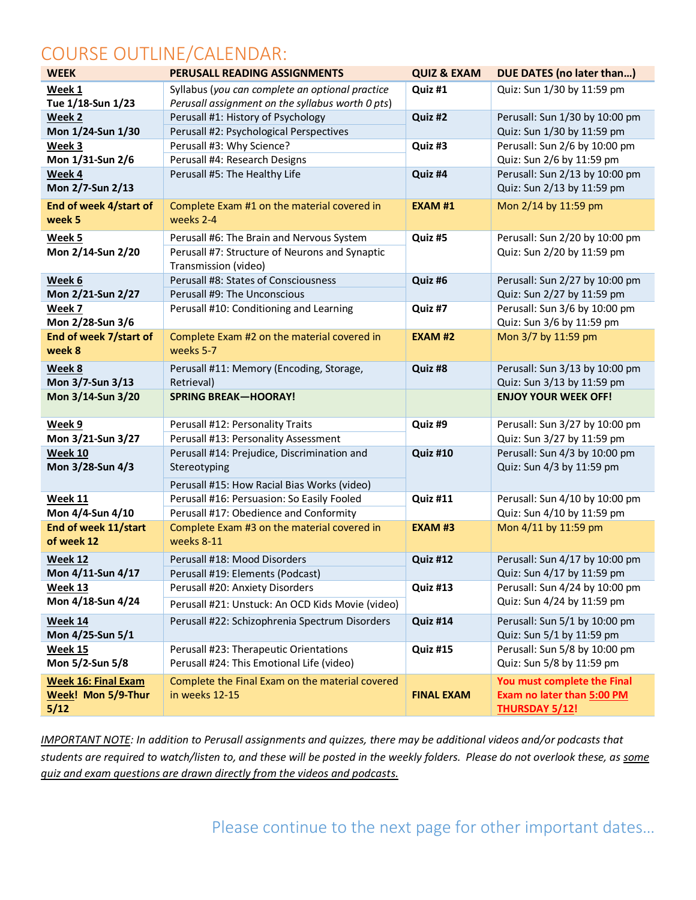## COURSE OUTLINE/CALENDAR:

| <b>WEEK</b>                      | PERUSALL READING ASSIGNMENTS                                                        | <b>QUIZ &amp; EXAM</b> | <b>DUE DATES (no later than)</b>                             |
|----------------------------------|-------------------------------------------------------------------------------------|------------------------|--------------------------------------------------------------|
| Week 1                           | Syllabus (you can complete an optional practice                                     | Quiz #1                | Quiz: Sun 1/30 by 11:59 pm                                   |
| Tue 1/18-Sun 1/23                | Perusall assignment on the syllabus worth 0 pts)                                    |                        |                                                              |
| Week 2                           | Perusall #1: History of Psychology                                                  | Quiz #2                | Perusall: Sun 1/30 by 10:00 pm                               |
| Mon 1/24-Sun 1/30                | Perusall #2: Psychological Perspectives                                             |                        | Quiz: Sun 1/30 by 11:59 pm                                   |
| Week 3                           | Perusall #3: Why Science?                                                           | Quiz #3                | Perusall: Sun 2/6 by 10:00 pm                                |
| Mon 1/31-Sun 2/6                 | Perusall #4: Research Designs                                                       |                        | Quiz: Sun 2/6 by 11:59 pm                                    |
| Week 4<br>Mon 2/7-Sun 2/13       | Perusall #5: The Healthy Life                                                       | Quiz #4                | Perusall: Sun 2/13 by 10:00 pm<br>Quiz: Sun 2/13 by 11:59 pm |
| End of week 4/start of<br>week 5 | Complete Exam #1 on the material covered in<br>weeks 2-4                            | <b>EXAM#1</b>          | Mon 2/14 by 11:59 pm                                         |
| Week 5                           | Perusall #6: The Brain and Nervous System                                           | Quiz #5                | Perusall: Sun 2/20 by 10:00 pm                               |
| Mon 2/14-Sun 2/20                | Perusall #7: Structure of Neurons and Synaptic<br>Transmission (video)              |                        | Quiz: Sun 2/20 by 11:59 pm                                   |
| Week 6                           | Perusall #8: States of Consciousness                                                | Quiz #6                | Perusall: Sun 2/27 by 10:00 pm                               |
| Mon 2/21-Sun 2/27                | Perusall #9: The Unconscious                                                        |                        | Quiz: Sun 2/27 by 11:59 pm                                   |
| Week 7<br>Mon 2/28-Sun 3/6       | Perusall #10: Conditioning and Learning                                             | Quiz #7                | Perusall: Sun 3/6 by 10:00 pm<br>Quiz: Sun 3/6 by 11:59 pm   |
| End of week 7/start of           | Complete Exam #2 on the material covered in                                         | <b>EXAM #2</b>         | Mon 3/7 by 11:59 pm                                          |
| week 8                           | weeks 5-7                                                                           |                        |                                                              |
| Week 8                           | Perusall #11: Memory (Encoding, Storage,                                            | Quiz #8                | Perusall: Sun 3/13 by 10:00 pm                               |
| Mon 3/7-Sun 3/13                 | Retrieval)                                                                          |                        | Quiz: Sun 3/13 by 11:59 pm                                   |
| Mon 3/14-Sun 3/20                | <b>SPRING BREAK-HOORAY!</b>                                                         |                        | <b>ENJOY YOUR WEEK OFF!</b>                                  |
| Week 9                           | Perusall #12: Personality Traits                                                    | Quiz #9                | Perusall: Sun 3/27 by 10:00 pm                               |
| Mon 3/21-Sun 3/27                | Perusall #13: Personality Assessment                                                |                        | Quiz: Sun 3/27 by 11:59 pm                                   |
| Week 10                          | Perusall #14: Prejudice, Discrimination and                                         | Quiz #10               | Perusall: Sun 4/3 by 10:00 pm                                |
| Mon 3/28-Sun 4/3                 | Stereotyping                                                                        |                        | Quiz: Sun 4/3 by 11:59 pm                                    |
|                                  | Perusall #15: How Racial Bias Works (video)                                         |                        |                                                              |
| Week 11                          | Perusall #16: Persuasion: So Easily Fooled                                          | Quiz #11               | Perusall: Sun 4/10 by 10:00 pm                               |
| Mon 4/4-Sun 4/10                 | Perusall #17: Obedience and Conformity                                              |                        | Quiz: Sun 4/10 by 11:59 pm                                   |
| End of week 11/start             | Complete Exam #3 on the material covered in                                         | <b>EXAM#3</b>          | Mon 4/11 by 11:59 pm                                         |
| of week 12                       | weeks 8-11                                                                          |                        |                                                              |
| Week 12                          | Perusall #18: Mood Disorders                                                        | Quiz #12               | Perusall: Sun 4/17 by 10:00 pm                               |
| Mon 4/11-Sun 4/17                | Perusall #19: Elements (Podcast)                                                    |                        |                                                              |
| Week 13                          |                                                                                     |                        | Quiz: Sun 4/17 by 11:59 pm                                   |
|                                  | Perusall #20: Anxiety Disorders                                                     | Quiz #13               | Perusall: Sun 4/24 by 10:00 pm                               |
| Mon 4/18-Sun 4/24                | Perusall #21: Unstuck: An OCD Kids Movie (video)                                    |                        | Quiz: Sun 4/24 by 11:59 pm                                   |
| Week 14                          | Perusall #22: Schizophrenia Spectrum Disorders                                      | Quiz #14               | Perusall: Sun 5/1 by 10:00 pm                                |
| Mon 4/25-Sun 5/1                 |                                                                                     |                        | Quiz: Sun 5/1 by 11:59 pm                                    |
| Week 15<br>Mon 5/2-Sun 5/8       | Perusall #23: Therapeutic Orientations<br>Perusall #24: This Emotional Life (video) | <b>Quiz #15</b>        | Perusall: Sun 5/8 by 10:00 pm<br>Quiz: Sun 5/8 by 11:59 pm   |
| <b>Week 16: Final Exam</b>       | Complete the Final Exam on the material covered                                     |                        | You must complete the Final                                  |

*IMPORTANT NOTE: In addition to Perusall assignments and quizzes, there may be additional videos and/or podcasts that students are required to watch/listen to, and these will be posted in the weekly folders. Please do not overlook these, as some quiz and exam questions are drawn directly from the videos and podcasts.*